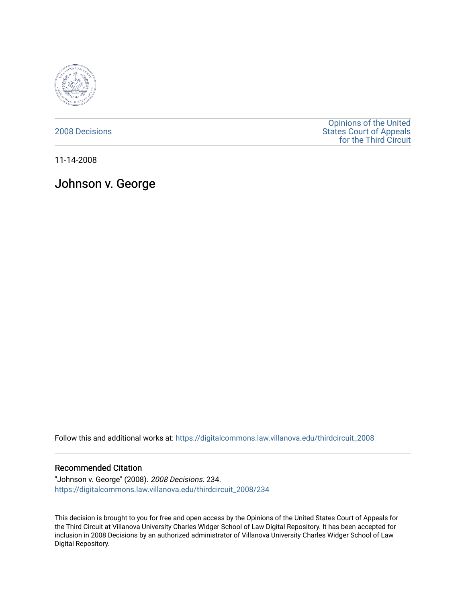

[2008 Decisions](https://digitalcommons.law.villanova.edu/thirdcircuit_2008)

[Opinions of the United](https://digitalcommons.law.villanova.edu/thirdcircuit)  [States Court of Appeals](https://digitalcommons.law.villanova.edu/thirdcircuit)  [for the Third Circuit](https://digitalcommons.law.villanova.edu/thirdcircuit) 

11-14-2008

Johnson v. George

Follow this and additional works at: [https://digitalcommons.law.villanova.edu/thirdcircuit\\_2008](https://digitalcommons.law.villanova.edu/thirdcircuit_2008?utm_source=digitalcommons.law.villanova.edu%2Fthirdcircuit_2008%2F234&utm_medium=PDF&utm_campaign=PDFCoverPages) 

#### Recommended Citation

"Johnson v. George" (2008). 2008 Decisions. 234. [https://digitalcommons.law.villanova.edu/thirdcircuit\\_2008/234](https://digitalcommons.law.villanova.edu/thirdcircuit_2008/234?utm_source=digitalcommons.law.villanova.edu%2Fthirdcircuit_2008%2F234&utm_medium=PDF&utm_campaign=PDFCoverPages)

This decision is brought to you for free and open access by the Opinions of the United States Court of Appeals for the Third Circuit at Villanova University Charles Widger School of Law Digital Repository. It has been accepted for inclusion in 2008 Decisions by an authorized administrator of Villanova University Charles Widger School of Law Digital Repository.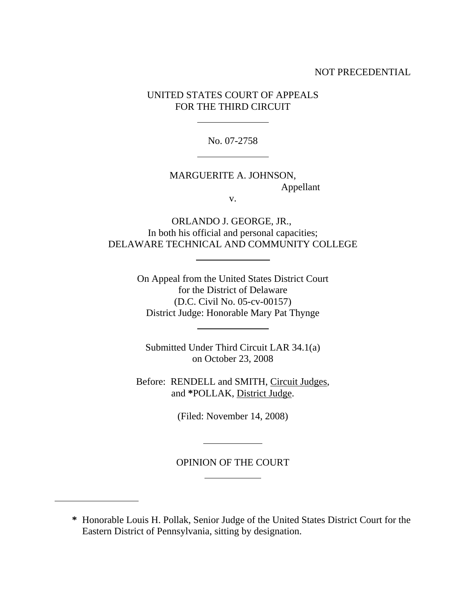# NOT PRECEDENTIAL

# UNITED STATES COURT OF APPEALS FOR THE THIRD CIRCUIT

 $\ddot{\phantom{a}}$ 

 $\overline{a}$ 

 $\ddot{\phantom{a}}$ 

 $\ddot{\phantom{a}}$ 

l

 $\overline{a}$ 

l

No. 07-2758

# MARGUERITE A. JOHNSON, Appellant

v.

ORLANDO J. GEORGE, JR., In both his official and personal capacities; DELAWARE TECHNICAL AND COMMUNITY COLLEGE

> On Appeal from the United States District Court for the District of Delaware (D.C. Civil No. 05-cv-00157) District Judge: Honorable Mary Pat Thynge

Submitted Under Third Circuit LAR 34.1(a) on October 23, 2008

Before: RENDELL and SMITH, Circuit Judges, and **\***POLLAK, District Judge.

(Filed: November 14, 2008)

# OPINION OF THE COURT

**\*** Honorable Louis H. Pollak, Senior Judge of the United States District Court for the Eastern District of Pennsylvania, sitting by designation.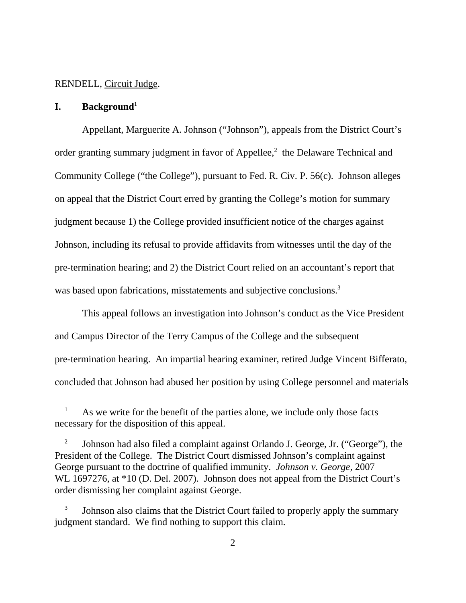#### RENDELL, Circuit Judge.

## **I.** Background<sup>1</sup>

Appellant, Marguerite A. Johnson ("Johnson"), appeals from the District Court's order granting summary judgment in favor of Appellee, $<sup>2</sup>$  the Delaware Technical and</sup> Community College ("the College"), pursuant to Fed. R. Civ. P. 56(c). Johnson alleges on appeal that the District Court erred by granting the College's motion for summary judgment because 1) the College provided insufficient notice of the charges against Johnson, including its refusal to provide affidavits from witnesses until the day of the pre-termination hearing; and 2) the District Court relied on an accountant's report that was based upon fabrications, misstatements and subjective conclusions.<sup>3</sup>

This appeal follows an investigation into Johnson's conduct as the Vice President and Campus Director of the Terry Campus of the College and the subsequent pre-termination hearing. An impartial hearing examiner, retired Judge Vincent Bifferato, concluded that Johnson had abused her position by using College personnel and materials

<sup>&</sup>lt;sup>1</sup> As we write for the benefit of the parties alone, we include only those facts necessary for the disposition of this appeal.

<sup>&</sup>lt;sup>2</sup> Johnson had also filed a complaint against Orlando J. George, Jr. ("George"), the President of the College. The District Court dismissed Johnson's complaint against George pursuant to the doctrine of qualified immunity. *Johnson v. George*, 2007 WL 1697276, at  $*10$  (D. Del. 2007). Johnson does not appeal from the District Court's order dismissing her complaint against George.

 <sup>3</sup> Johnson also claims that the District Court failed to properly apply the summary judgment standard. We find nothing to support this claim.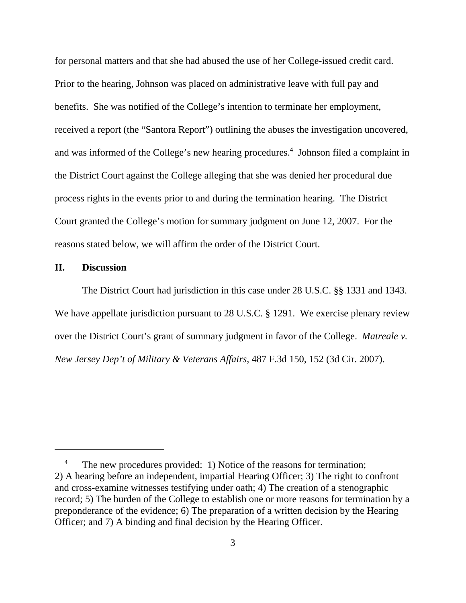for personal matters and that she had abused the use of her College-issued credit card. Prior to the hearing, Johnson was placed on administrative leave with full pay and benefits. She was notified of the College's intention to terminate her employment, received a report (the "Santora Report") outlining the abuses the investigation uncovered, and was informed of the College's new hearing procedures.<sup>4</sup> Johnson filed a complaint in the District Court against the College alleging that she was denied her procedural due process rights in the events prior to and during the termination hearing. The District Court granted the College's motion for summary judgment on June 12, 2007. For the reasons stated below, we will affirm the order of the District Court.

#### **II. Discussion**

The District Court had jurisdiction in this case under 28 U.S.C. §§ 1331 and 1343. We have appellate jurisdiction pursuant to 28 U.S.C. § 1291. We exercise plenary review over the District Court's grant of summary judgment in favor of the College. *Matreale v. New Jersey Dep't of Military & Veterans Affairs*, 487 F.3d 150, 152 (3d Cir. 2007).

The new procedures provided: 1) Notice of the reasons for termination; 2) A hearing before an independent, impartial Hearing Officer; 3) The right to confront and cross-examine witnesses testifying under oath; 4) The creation of a stenographic record; 5) The burden of the College to establish one or more reasons for termination by a preponderance of the evidence; 6) The preparation of a written decision by the Hearing Officer; and 7) A binding and final decision by the Hearing Officer.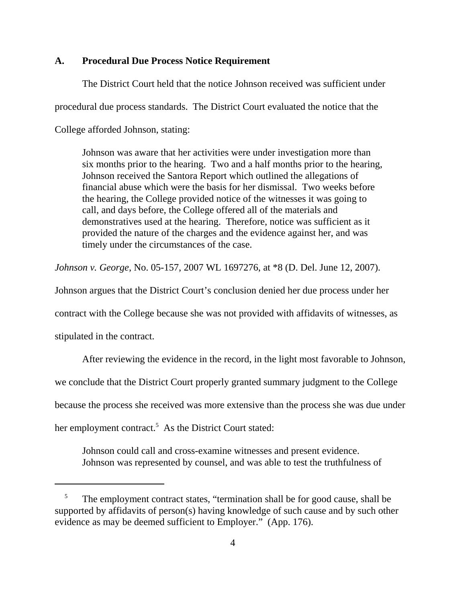## **A. Procedural Due Process Notice Requirement**

The District Court held that the notice Johnson received was sufficient under procedural due process standards. The District Court evaluated the notice that the College afforded Johnson, stating:

Johnson was aware that her activities were under investigation more than six months prior to the hearing. Two and a half months prior to the hearing, Johnson received the Santora Report which outlined the allegations of financial abuse which were the basis for her dismissal. Two weeks before the hearing, the College provided notice of the witnesses it was going to call, and days before, the College offered all of the materials and demonstratives used at the hearing. Therefore, notice was sufficient as it provided the nature of the charges and the evidence against her, and was timely under the circumstances of the case.

*Johnson v. George*, No. 05-157, 2007 WL 1697276, at \*8 (D. Del. June 12, 2007).

Johnson argues that the District Court's conclusion denied her due process under her

contract with the College because she was not provided with affidavits of witnesses, as

stipulated in the contract.

After reviewing the evidence in the record, in the light most favorable to Johnson,

we conclude that the District Court properly granted summary judgment to the College

because the process she received was more extensive than the process she was due under

her employment contract.<sup>5</sup> As the District Court stated:

Johnson could call and cross-examine witnesses and present evidence. Johnson was represented by counsel, and was able to test the truthfulness of

 $5$  The employment contract states, "termination shall be for good cause, shall be supported by affidavits of person(s) having knowledge of such cause and by such other evidence as may be deemed sufficient to Employer." (App. 176).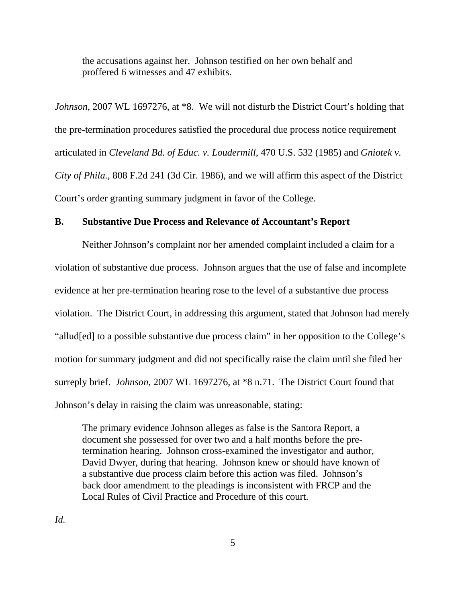the accusations against her. Johnson testified on her own behalf and proffered 6 witnesses and 47 exhibits.

*Johnson*, 2007 WL 1697276, at \*8. We will not disturb the District Court's holding that the pre-termination procedures satisfied the procedural due process notice requirement articulated in *Cleveland Bd. of Educ. v. Loudermill*, 470 U.S. 532 (1985) and *Gniotek v. City of Phila.*, 808 F.2d 241 (3d Cir. 1986), and we will affirm this aspect of the District Court's order granting summary judgment in favor of the College.

# **B. Substantive Due Process and Relevance of Accountant's Report**

Neither Johnson's complaint nor her amended complaint included a claim for a violation of substantive due process. Johnson argues that the use of false and incomplete evidence at her pre-termination hearing rose to the level of a substantive due process violation. The District Court, in addressing this argument, stated that Johnson had merely "allud[ed] to a possible substantive due process claim" in her opposition to the College's motion for summary judgment and did not specifically raise the claim until she filed her surreply brief. *Johnson*, 2007 WL 1697276, at \*8 n.71. The District Court found that Johnson's delay in raising the claim was unreasonable, stating:

The primary evidence Johnson alleges as false is the Santora Report, a document she possessed for over two and a half months before the pretermination hearing. Johnson cross-examined the investigator and author, David Dwyer, during that hearing. Johnson knew or should have known of a substantive due process claim before this action was filed. Johnson's back door amendment to the pleadings is inconsistent with FRCP and the Local Rules of Civil Practice and Procedure of this court.

*Id.*